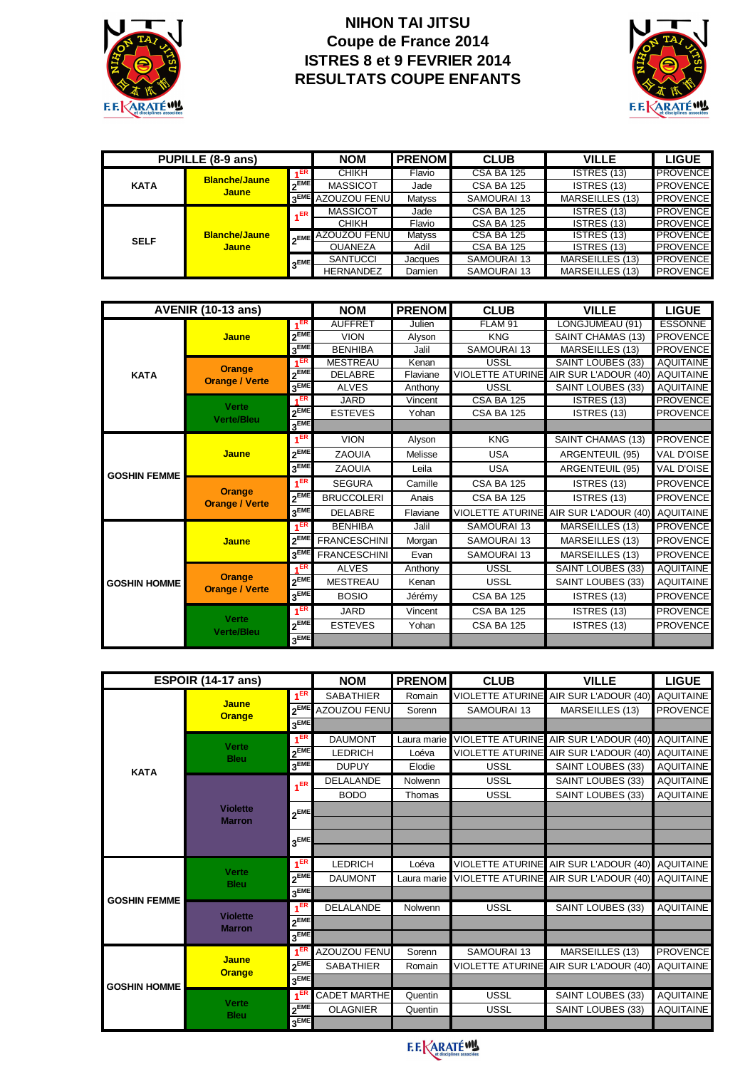

## **NIHON TAI JITSU** Coupe de France 2014 ISTRES 8 et 9 FEVRIER 2014 **RESULTATS COUPE ENFANTS**



| PUPILLE (8-9 ans) |                                      |             | <b>NOM</b>                    | <b>PRENOM</b> | <b>CLUB</b>       | <b>VILLE</b>    | <b>LIGUE</b>    |
|-------------------|--------------------------------------|-------------|-------------------------------|---------------|-------------------|-----------------|-----------------|
| <b>KATA</b>       | <b>Blanche/Jaune</b>                 | 4ER         | <b>CHIKH</b>                  | Flavio        | <b>CSA BA 125</b> | ISTRES (13)     | <b>PROVENCE</b> |
|                   | <b>Jaune</b>                         | <b>OEME</b> | <b>MASSICOT</b>               | Jade          | <b>CSA BA 125</b> | ISTRES (13)     | <b>PROVENCE</b> |
|                   |                                      |             | 3 <sup>EME</sup> AZOUZOU FENU | <b>Matyss</b> | SAMOURAI 13       | MARSEILLES (13) | <b>PROVENCE</b> |
| <b>SELF</b>       | <b>Blanche/Jaune</b><br><b>Jaune</b> | $E$ R       | <b>MASSICOT</b>               | Jade          | <b>CSA BA 125</b> | ISTRES (13)     | <b>PROVENCE</b> |
|                   |                                      |             | <b>CHIKH</b>                  | Flavio        | <b>CSA BA 125</b> | ISTRES (13)     | <b>PROVENCE</b> |
|                   |                                      |             | <b>AZOUZOU FENU</b>           | Matyss        | <b>CSA BA 125</b> | ISTRES (13)     | <b>PROVENCE</b> |
|                   |                                      |             | <b>OUANEZA</b>                | Adil          | <b>CSA BA 125</b> | ISTRES (13)     | <b>PROVENCE</b> |
|                   |                                      | <b>AEME</b> | <b>SANTUCCI</b>               | Jacques       | SAMOURAI 13       | MARSEILLES (13) | <b>PROVENCE</b> |
|                   |                                      |             | <b>HERNANDEZ</b>              | Damien        | SAMOURAI 13       | MARSEILLES (13) | <b>PROVENCE</b> |

| <b>AVENIR (10-13 ans)</b> |                                        |                    | <b>NOM</b>          | <b>PRENOM</b> | <b>CLUB</b>             | <b>VILLE</b>             | <b>LIGUE</b>     |
|---------------------------|----------------------------------------|--------------------|---------------------|---------------|-------------------------|--------------------------|------------------|
|                           |                                        | 4 <sup>ER</sup>    | <b>AUFFRET</b>      | Julien        | FLAM <sub>91</sub>      | LONGJUMEAU (91)          | <b>ESSONNE</b>   |
|                           | <b>Jaune</b>                           | $2^{EME}$          | <b>VION</b>         | Alyson        | <b>KNG</b>              | SAINT CHAMAS (13)        | <b>PROVENCE</b>  |
|                           |                                        | $3$ <sub>EME</sub> | <b>BENHIBA</b>      | Jalil         | SAMOURAI 13             | MARSEILLES (13)          | <b>PROVENCE</b>  |
|                           | <b>Orange</b><br><b>Orange / Verte</b> | $1$ <sub>ER</sub>  | <b>MESTREAU</b>     | Kenan         | <b>USSL</b>             | <b>SAINT LOUBES (33)</b> | <b>AQUITAINE</b> |
| <b>KATA</b>               |                                        | $2^{EME}$          | <b>DELABRE</b>      | Flaviane      | <b>VIOLETTE ATURINE</b> | AIR SUR L'ADOUR (40)     | <b>AQUITAINE</b> |
|                           |                                        | 3 <sup>EME</sup>   | <b>ALVES</b>        | Anthony       | <b>USSL</b>             | SAINT LOUBES (33)        | <b>AQUITAINE</b> |
|                           | <b>Verte</b><br><b>Verte/Bleu</b>      | 4ER                | <b>JARD</b>         | Vincent       | <b>CSA BA 125</b>       | ISTRES (13)              | <b>PROVENCE</b>  |
|                           |                                        | $2^{EME}$          | <b>ESTEVES</b>      | Yohan         | <b>CSA BA 125</b>       | ISTRES (13)              | <b>PROVENCE</b>  |
|                           |                                        | $3$ <sub>EME</sub> |                     |               |                         |                          |                  |
| <b>GOSHIN FEMME</b>       | <b>Jaune</b>                           | 1 <sup>ER</sup>    | <b>VION</b>         | Alyson        | <b>KNG</b>              | SAINT CHAMAS (13)        | <b>PROVENCE</b>  |
|                           |                                        | 2EME               | <b>ZAOUIA</b>       | Melisse       | <b>USA</b>              | ARGENTEUIL (95)          | VAL D'OISE       |
|                           |                                        | $3^{\text{EME}}$   | <b>ZAOUIA</b>       | Leila         | <b>USA</b>              | ARGENTEUIL (95)          | VAL D'OISE       |
|                           | <b>Orange</b><br><b>Orange / Verte</b> | 1 <sup>ER</sup>    | <b>SEGURA</b>       | Camille       | <b>CSA BA 125</b>       | ISTRES (13)              | <b>PROVENCE</b>  |
|                           |                                        | $2^{EME}$          | <b>BRUCCOLERI</b>   | Anais         | <b>CSA BA 125</b>       | ISTRES (13)              | <b>PROVENCE</b>  |
|                           |                                        | 3 <sup>EME</sup>   | <b>DELABRE</b>      | Flaviane      | <b>VIOLETTE ATURINE</b> | AIR SUR L'ADOUR (40)     | <b>AQUITAINE</b> |
|                           |                                        | 1 <sup>ER</sup>    | <b>BENHIBA</b>      | Jalil         | SAMOURAI 13             | MARSEILLES (13)          | <b>PROVENCE</b>  |
|                           | <b>Jaune</b>                           | $2^{EME}$          | <b>FRANCESCHINI</b> | Morgan        | SAMOURAI 13             | MARSEILLES (13)          | <b>PROVENCE</b>  |
|                           |                                        | 3 <sup>EME</sup>   | <b>FRANCESCHINI</b> | Evan          | <b>SAMOURAI 13</b>      | MARSEILLES (13)          | <b>PROVENCE</b>  |
|                           | <b>Orange</b><br><b>Orange / Verte</b> | 1 <sup>ER</sup>    | <b>ALVES</b>        | Anthony       | <b>USSL</b>             | <b>SAINT LOUBES (33)</b> | <b>AQUITAINE</b> |
| <b>GOSHIN HOMME</b>       |                                        | $2^{EME}$          | <b>MESTREAU</b>     | Kenan         | <b>USSL</b>             | SAINT LOUBES (33)        | <b>AQUITAINE</b> |
|                           |                                        | 3 <sup>EME</sup>   | <b>BOSIO</b>        | Jérémy        | <b>CSA BA 125</b>       | ISTRES (13)              | <b>PROVENCE</b>  |
|                           |                                        | 4 <sup>ER</sup>    | <b>JARD</b>         | Vincent       | <b>CSA BA 125</b>       | ISTRES (13)              | <b>PROVENCE</b>  |
|                           | <b>Verte</b><br><b>Verte/Bleu</b>      | $2^{EME}$          | <b>ESTEVES</b>      | Yohan         | <b>CSA BA 125</b>       | ISTRES (13)              | <b>PROVENCE</b>  |
|                           |                                        | $3$ <sub>EME</sub> |                     |               |                         |                          |                  |

| ESPOIR (14-17 ans)  |                                  |                    | <b>NOM</b>          | <b>PRENOM</b> | <b>CLUB</b>             | <b>VILLE</b>                          | <b>LIGUE</b>     |
|---------------------|----------------------------------|--------------------|---------------------|---------------|-------------------------|---------------------------------------|------------------|
|                     |                                  | 1 <sup>ER</sup>    | <b>SABATHIER</b>    | Romain        | <b>VIOLETTE ATURINE</b> | AIR SUR L'ADOUR (40)                  | <b>AQUITAINE</b> |
|                     | <b>Jaune</b><br><b>Orange</b>    | $2^{EME}$          | <b>AZOUZOU FENU</b> | Sorenn        | SAMOURAI 13             | MARSEILLES (13)                       | <b>PROVENCE</b>  |
|                     |                                  | 3 <sup>EME</sup>   |                     |               |                         |                                       |                  |
|                     | <b>Verte</b><br><b>Bleu</b>      | 1 <sup>ER</sup>    | <b>DAUMONT</b>      | Laura marie   | <b>VIOLETTE ATURINE</b> | AIR SUR L'ADOUR (40)                  | <b>AQUITAINE</b> |
|                     |                                  | $2^{EME}$          | <b>LEDRICH</b>      | Loéva         | <b>VIOLETTE ATURINE</b> | AIR SUR L'ADOUR (40)                  | <b>AQUITAINE</b> |
| <b>KATA</b>         |                                  | 3 <sup>EME</sup>   | <b>DUPUY</b>        | Elodie        | <b>USSL</b>             | SAINT LOUBES (33)                     | <b>AQUITAINE</b> |
|                     |                                  | 1 <sup>ER</sup>    | <b>DELALANDE</b>    | Nolwenn       | <b>USSL</b>             | SAINT LOUBES (33)                     | <b>AQUITAINE</b> |
|                     |                                  |                    | <b>BODO</b>         | Thomas        | <b>USSL</b>             | SAINT LOUBES (33)                     | <b>AQUITAINE</b> |
|                     | <b>Violette</b><br><b>Marron</b> | $2^{EME}$          |                     |               |                         |                                       |                  |
|                     |                                  |                    |                     |               |                         |                                       |                  |
|                     |                                  | $3$ <sub>EME</sub> |                     |               |                         |                                       |                  |
|                     |                                  |                    |                     |               |                         |                                       |                  |
|                     | <b>Verte</b><br><b>Bleu</b>      | 1 <sup>ER</sup>    | <b>LEDRICH</b>      | Loéva         |                         | VIOLETTE ATURINE AIR SUR L'ADOUR (40) | <b>AQUITAINE</b> |
|                     |                                  | $2^{EME}$          | <b>DAUMONT</b>      | Laura marie   |                         | VIOLETTE ATURINE AIR SUR L'ADOUR (40) | <b>AQUITAINE</b> |
| <b>GOSHIN FEMME</b> |                                  | 3 <sup>EME</sup>   |                     |               |                         |                                       |                  |
|                     | <b>Violette</b><br><b>Marron</b> | 1 <sup>ER</sup>    | <b>DELALANDE</b>    | Nolwenn       | <b>USSL</b>             | SAINT LOUBES (33)                     | <b>AQUITAINE</b> |
|                     |                                  | <sub>ጋ</sub> EME   |                     |               |                         |                                       |                  |
|                     |                                  | $3^{\text{EME}}$   |                     |               |                         |                                       |                  |
| <b>GOSHIN HOMME</b> | <b>Jaune</b><br><b>Orange</b>    | 1 <sup>EF</sup>    | AZOUZOU FENU        | Sorenn        | SAMOURAI 13             | MARSEILLES (13)                       | <b>PROVENCE</b>  |
|                     |                                  | $2^{EME}$          | <b>SABATHIER</b>    | Romain        | <b>VIOLETTE ATURINE</b> | AIR SUR L'ADOUR (40)                  | <b>AQUITAINE</b> |
|                     |                                  | $3^{\text{EME}}$   |                     |               |                         |                                       |                  |
|                     | <b>Verte</b><br><b>Bleu</b>      | 1 <sup>ER</sup>    | <b>CADET MARTHE</b> | Quentin       | <b>USSL</b>             | SAINT LOUBES (33)                     | <b>AQUITAINE</b> |
|                     |                                  | $2^{EME}$          | <b>OLAGNIER</b>     | Quentin       | <b>USSL</b>             | SAINT LOUBES (33)                     | <b>AQUITAINE</b> |
|                     |                                  | $3^{EME}$          |                     |               |                         |                                       |                  |